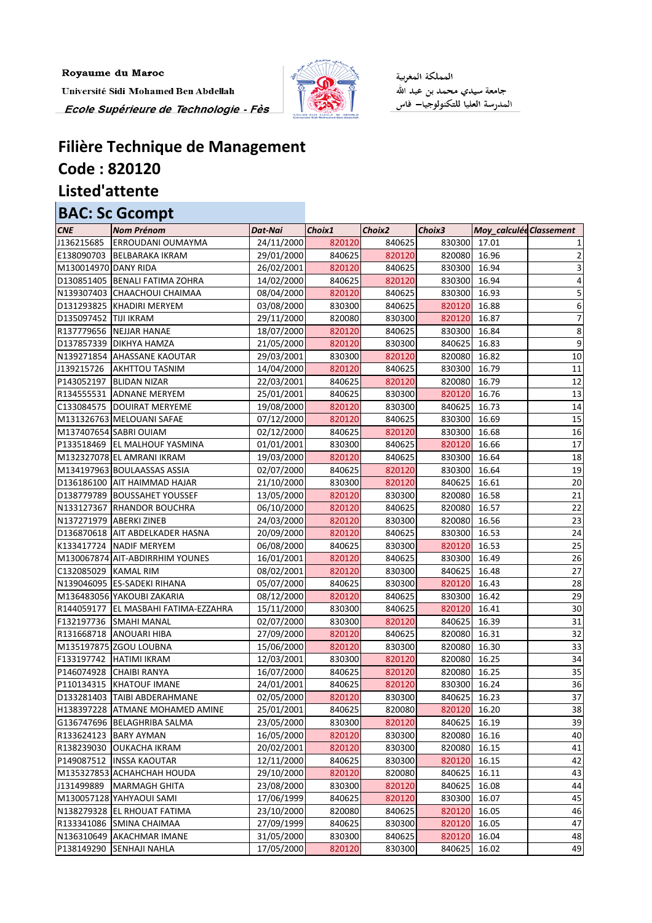Royaume du Maroc Université Sidi Mohamed Ben Abdellah Ecole Supérieure de Technologie - Fès



المملكة المغربية جامعة سيدي محمد بن عبد الله<br>المدرسة العليا للتكنولوجيا— فاس

## **Filière Technique de Management Code : 820120**

**Listed'attente**

## **BAC: Sc Gcompt**

| 820120<br>840625<br>830300<br>24/11/2000<br>17.01<br><b>ERROUDANI OUMAYMA</b><br>E138090703 BELBARAKA IKRAM<br>840625<br>820120<br>820080<br>16.96<br>29/01/2000<br>26/02/2001<br>820120<br>830300<br>16.94<br>M130014970 DANY RIDA<br>840625<br>D130851405   BENALI FATIMA ZOHRA<br>14/02/2000<br>840625<br>820120<br>830300<br>16.94<br>5<br>820120<br>840625<br>830300<br>16.93<br>N139307403 CHAACHOUI CHAIMAA<br>08/04/2000<br>830300<br>820120<br>16.88<br>D131293825  KHADIRI MERYEM<br>03/08/2000<br>840625<br>6<br>D135097452 TIJI IKRAM<br>820080<br>820120<br>16.87<br>29/11/2000<br>830300<br>R137779656 NEJJAR HANAE<br>820120<br>830300<br>16.84<br>18/07/2000<br>840625<br>8<br>9<br>D137857339 DIKHYA HAMZA<br>21/05/2000<br>820120<br>830300<br>840625<br>16.83<br>10<br>820120<br>820080<br>16.82<br>N139271854 AHASSANE KAOUTAR<br>29/03/2001<br>830300<br>16.79<br>11<br>14/04/2000<br>820120<br>840625<br>830300<br><b>AKHTTOU TASNIM</b><br>12<br>P143052197 BLIDAN NIZAR<br>840625<br>820080<br>16.79<br>22/03/2001<br>820120<br>13<br>R134555531 ADNANE MERYEM<br>840625<br>820120<br>16.76<br>25/01/2001<br>830300<br>14<br>19/08/2000<br>820120<br>830300<br>840625<br>16.73<br>C133084575   DOUIRAT MERYEME<br>15<br>M131326763 MELOUANI SAFAE<br>820120<br>840625<br>830300<br>16.69<br>07/12/2000<br>16.68<br>M137407654 SABRI OUIAM<br>02/12/2000<br>840625<br>820120<br>830300<br>16<br>17<br>830300<br>840625<br>820120<br>16.66<br>P133518469   EL MALHOUF YASMINA<br>01/01/2001<br>19/03/2000<br>820120<br>830300<br>16.64<br>18<br>M132327078 EL AMRANI IKRAM<br>840625<br>19<br>M134197963 BOULAASSAS ASSIA<br>02/07/2000<br>840625<br>820120<br>830300<br>16.64<br>20<br>830300<br>820120<br>840625<br>16.61<br>D136186100 AIT HAIMMAD HAJAR<br>21/10/2000<br>21<br>820120<br>16.58<br>D138779789 BOUSSAHET YOUSSEF<br>13/05/2000<br>830300<br>820080<br>22<br>N133127367 RHANDOR BOUCHRA<br>820120<br>820080<br>16.57<br>06/10/2000<br>840625<br>23<br>820120<br>820080<br>16.56<br>N137271979 ABERKI ZINEB<br>24/03/2000<br>830300<br>24<br>D136870618 AIT ABDELKADER HASNA<br>20/09/2000<br>820120<br>840625<br>830300<br>16.53<br>25<br>820120<br>K133417724 NADIF MERYEM<br>06/08/2000<br>840625<br>830300<br>16.53<br>26<br>16/01/2001<br>820120<br>840625<br>830300<br>16.49<br>M130067874 AIT-ABDIRRHIM YOUNES<br>27<br>820120<br>840625<br>C132085029   KAMAL RIM<br>08/02/2001<br>830300<br>16.48<br>28<br>05/07/2000<br>840625<br>820120<br>16.43<br>N139046095 ES-SADEKI RIHANA<br>830300<br>29<br>M136483056 YAKOUBI ZAKARIA<br>08/12/2000<br>820120<br>840625<br>830300<br>16.42<br>30 <sub>o</sub><br>820120<br>R144059177   EL MASBAHI FATIMA-EZZAHRA<br>15/11/2000<br>830300<br>840625<br>16.41<br>02/07/2000<br>F132197736 SMAHI MANAL<br>830300<br>820120<br>840625<br>16.39<br>31<br>32<br>27/09/2000<br>820120<br>840625<br>16.31<br>R131668718 ANOUARI HIBA<br>820080<br>820080<br>16.30<br>33<br>M135197875 ZGOU LOUBNA<br>15/06/2000<br>820120<br>830300<br>34<br>12/03/2001<br>820120<br>820080<br>16.25<br>F133197742<br><b>HATIMI IKRAM</b><br>830300<br>35<br>P146074928 CHAIBI RANYA<br>16/07/2000<br>840625<br>820120<br>820080<br>16.25<br>36<br>24/01/2001<br>840625<br>820120<br>16.24<br>P110134315 KHATOUF IMANE<br>830300<br>37<br>02/05/2000<br>16.23<br>D133281403   TAIBI ABDERAHMANE<br>820120<br>830300<br>840625<br>820120<br>16.20<br>38<br>H138397228 ATMANE MOHAMED AMINE<br>25/01/2001<br>840625<br>820080<br>39<br>23/05/2000<br>830300<br>820120<br>840625<br>16.19<br>G136747696 BELAGHRIBA SALMA<br>R133624123 BARY AYMAN<br>16/05/2000<br>820120<br>830300<br>820080<br>16.16<br>40 | <b>CNE</b> | <b>Nom Prénom</b> | Dat-Nai    | Choix1 | Choix2 | Choix3 | Moy_calculée Classement |    |
|-----------------------------------------------------------------------------------------------------------------------------------------------------------------------------------------------------------------------------------------------------------------------------------------------------------------------------------------------------------------------------------------------------------------------------------------------------------------------------------------------------------------------------------------------------------------------------------------------------------------------------------------------------------------------------------------------------------------------------------------------------------------------------------------------------------------------------------------------------------------------------------------------------------------------------------------------------------------------------------------------------------------------------------------------------------------------------------------------------------------------------------------------------------------------------------------------------------------------------------------------------------------------------------------------------------------------------------------------------------------------------------------------------------------------------------------------------------------------------------------------------------------------------------------------------------------------------------------------------------------------------------------------------------------------------------------------------------------------------------------------------------------------------------------------------------------------------------------------------------------------------------------------------------------------------------------------------------------------------------------------------------------------------------------------------------------------------------------------------------------------------------------------------------------------------------------------------------------------------------------------------------------------------------------------------------------------------------------------------------------------------------------------------------------------------------------------------------------------------------------------------------------------------------------------------------------------------------------------------------------------------------------------------------------------------------------------------------------------------------------------------------------------------------------------------------------------------------------------------------------------------------------------------------------------------------------------------------------------------------------------------------------------------------------------------------------------------------------------------------------------------------------------------------------------------------------------------------------------------------------------------------------------------------------------------------------------------------------------------------------------------------------------------------------------------------------------------------------------------------------------------------------------------------------------------------------------------------------------------------------------------------------------------------------------------|------------|-------------------|------------|--------|--------|--------|-------------------------|----|
|                                                                                                                                                                                                                                                                                                                                                                                                                                                                                                                                                                                                                                                                                                                                                                                                                                                                                                                                                                                                                                                                                                                                                                                                                                                                                                                                                                                                                                                                                                                                                                                                                                                                                                                                                                                                                                                                                                                                                                                                                                                                                                                                                                                                                                                                                                                                                                                                                                                                                                                                                                                                                                                                                                                                                                                                                                                                                                                                                                                                                                                                                                                                                                                                                                                                                                                                                                                                                                                                                                                                                                                                                                                                             | J136215685 |                   |            |        |        |        |                         |    |
|                                                                                                                                                                                                                                                                                                                                                                                                                                                                                                                                                                                                                                                                                                                                                                                                                                                                                                                                                                                                                                                                                                                                                                                                                                                                                                                                                                                                                                                                                                                                                                                                                                                                                                                                                                                                                                                                                                                                                                                                                                                                                                                                                                                                                                                                                                                                                                                                                                                                                                                                                                                                                                                                                                                                                                                                                                                                                                                                                                                                                                                                                                                                                                                                                                                                                                                                                                                                                                                                                                                                                                                                                                                                             |            |                   |            |        |        |        |                         |    |
|                                                                                                                                                                                                                                                                                                                                                                                                                                                                                                                                                                                                                                                                                                                                                                                                                                                                                                                                                                                                                                                                                                                                                                                                                                                                                                                                                                                                                                                                                                                                                                                                                                                                                                                                                                                                                                                                                                                                                                                                                                                                                                                                                                                                                                                                                                                                                                                                                                                                                                                                                                                                                                                                                                                                                                                                                                                                                                                                                                                                                                                                                                                                                                                                                                                                                                                                                                                                                                                                                                                                                                                                                                                                             |            |                   |            |        |        |        |                         |    |
|                                                                                                                                                                                                                                                                                                                                                                                                                                                                                                                                                                                                                                                                                                                                                                                                                                                                                                                                                                                                                                                                                                                                                                                                                                                                                                                                                                                                                                                                                                                                                                                                                                                                                                                                                                                                                                                                                                                                                                                                                                                                                                                                                                                                                                                                                                                                                                                                                                                                                                                                                                                                                                                                                                                                                                                                                                                                                                                                                                                                                                                                                                                                                                                                                                                                                                                                                                                                                                                                                                                                                                                                                                                                             |            |                   |            |        |        |        |                         |    |
|                                                                                                                                                                                                                                                                                                                                                                                                                                                                                                                                                                                                                                                                                                                                                                                                                                                                                                                                                                                                                                                                                                                                                                                                                                                                                                                                                                                                                                                                                                                                                                                                                                                                                                                                                                                                                                                                                                                                                                                                                                                                                                                                                                                                                                                                                                                                                                                                                                                                                                                                                                                                                                                                                                                                                                                                                                                                                                                                                                                                                                                                                                                                                                                                                                                                                                                                                                                                                                                                                                                                                                                                                                                                             |            |                   |            |        |        |        |                         |    |
|                                                                                                                                                                                                                                                                                                                                                                                                                                                                                                                                                                                                                                                                                                                                                                                                                                                                                                                                                                                                                                                                                                                                                                                                                                                                                                                                                                                                                                                                                                                                                                                                                                                                                                                                                                                                                                                                                                                                                                                                                                                                                                                                                                                                                                                                                                                                                                                                                                                                                                                                                                                                                                                                                                                                                                                                                                                                                                                                                                                                                                                                                                                                                                                                                                                                                                                                                                                                                                                                                                                                                                                                                                                                             |            |                   |            |        |        |        |                         |    |
|                                                                                                                                                                                                                                                                                                                                                                                                                                                                                                                                                                                                                                                                                                                                                                                                                                                                                                                                                                                                                                                                                                                                                                                                                                                                                                                                                                                                                                                                                                                                                                                                                                                                                                                                                                                                                                                                                                                                                                                                                                                                                                                                                                                                                                                                                                                                                                                                                                                                                                                                                                                                                                                                                                                                                                                                                                                                                                                                                                                                                                                                                                                                                                                                                                                                                                                                                                                                                                                                                                                                                                                                                                                                             |            |                   |            |        |        |        |                         |    |
|                                                                                                                                                                                                                                                                                                                                                                                                                                                                                                                                                                                                                                                                                                                                                                                                                                                                                                                                                                                                                                                                                                                                                                                                                                                                                                                                                                                                                                                                                                                                                                                                                                                                                                                                                                                                                                                                                                                                                                                                                                                                                                                                                                                                                                                                                                                                                                                                                                                                                                                                                                                                                                                                                                                                                                                                                                                                                                                                                                                                                                                                                                                                                                                                                                                                                                                                                                                                                                                                                                                                                                                                                                                                             |            |                   |            |        |        |        |                         |    |
|                                                                                                                                                                                                                                                                                                                                                                                                                                                                                                                                                                                                                                                                                                                                                                                                                                                                                                                                                                                                                                                                                                                                                                                                                                                                                                                                                                                                                                                                                                                                                                                                                                                                                                                                                                                                                                                                                                                                                                                                                                                                                                                                                                                                                                                                                                                                                                                                                                                                                                                                                                                                                                                                                                                                                                                                                                                                                                                                                                                                                                                                                                                                                                                                                                                                                                                                                                                                                                                                                                                                                                                                                                                                             |            |                   |            |        |        |        |                         |    |
|                                                                                                                                                                                                                                                                                                                                                                                                                                                                                                                                                                                                                                                                                                                                                                                                                                                                                                                                                                                                                                                                                                                                                                                                                                                                                                                                                                                                                                                                                                                                                                                                                                                                                                                                                                                                                                                                                                                                                                                                                                                                                                                                                                                                                                                                                                                                                                                                                                                                                                                                                                                                                                                                                                                                                                                                                                                                                                                                                                                                                                                                                                                                                                                                                                                                                                                                                                                                                                                                                                                                                                                                                                                                             |            |                   |            |        |        |        |                         |    |
|                                                                                                                                                                                                                                                                                                                                                                                                                                                                                                                                                                                                                                                                                                                                                                                                                                                                                                                                                                                                                                                                                                                                                                                                                                                                                                                                                                                                                                                                                                                                                                                                                                                                                                                                                                                                                                                                                                                                                                                                                                                                                                                                                                                                                                                                                                                                                                                                                                                                                                                                                                                                                                                                                                                                                                                                                                                                                                                                                                                                                                                                                                                                                                                                                                                                                                                                                                                                                                                                                                                                                                                                                                                                             | J139215726 |                   |            |        |        |        |                         |    |
|                                                                                                                                                                                                                                                                                                                                                                                                                                                                                                                                                                                                                                                                                                                                                                                                                                                                                                                                                                                                                                                                                                                                                                                                                                                                                                                                                                                                                                                                                                                                                                                                                                                                                                                                                                                                                                                                                                                                                                                                                                                                                                                                                                                                                                                                                                                                                                                                                                                                                                                                                                                                                                                                                                                                                                                                                                                                                                                                                                                                                                                                                                                                                                                                                                                                                                                                                                                                                                                                                                                                                                                                                                                                             |            |                   |            |        |        |        |                         |    |
|                                                                                                                                                                                                                                                                                                                                                                                                                                                                                                                                                                                                                                                                                                                                                                                                                                                                                                                                                                                                                                                                                                                                                                                                                                                                                                                                                                                                                                                                                                                                                                                                                                                                                                                                                                                                                                                                                                                                                                                                                                                                                                                                                                                                                                                                                                                                                                                                                                                                                                                                                                                                                                                                                                                                                                                                                                                                                                                                                                                                                                                                                                                                                                                                                                                                                                                                                                                                                                                                                                                                                                                                                                                                             |            |                   |            |        |        |        |                         |    |
|                                                                                                                                                                                                                                                                                                                                                                                                                                                                                                                                                                                                                                                                                                                                                                                                                                                                                                                                                                                                                                                                                                                                                                                                                                                                                                                                                                                                                                                                                                                                                                                                                                                                                                                                                                                                                                                                                                                                                                                                                                                                                                                                                                                                                                                                                                                                                                                                                                                                                                                                                                                                                                                                                                                                                                                                                                                                                                                                                                                                                                                                                                                                                                                                                                                                                                                                                                                                                                                                                                                                                                                                                                                                             |            |                   |            |        |        |        |                         |    |
|                                                                                                                                                                                                                                                                                                                                                                                                                                                                                                                                                                                                                                                                                                                                                                                                                                                                                                                                                                                                                                                                                                                                                                                                                                                                                                                                                                                                                                                                                                                                                                                                                                                                                                                                                                                                                                                                                                                                                                                                                                                                                                                                                                                                                                                                                                                                                                                                                                                                                                                                                                                                                                                                                                                                                                                                                                                                                                                                                                                                                                                                                                                                                                                                                                                                                                                                                                                                                                                                                                                                                                                                                                                                             |            |                   |            |        |        |        |                         |    |
|                                                                                                                                                                                                                                                                                                                                                                                                                                                                                                                                                                                                                                                                                                                                                                                                                                                                                                                                                                                                                                                                                                                                                                                                                                                                                                                                                                                                                                                                                                                                                                                                                                                                                                                                                                                                                                                                                                                                                                                                                                                                                                                                                                                                                                                                                                                                                                                                                                                                                                                                                                                                                                                                                                                                                                                                                                                                                                                                                                                                                                                                                                                                                                                                                                                                                                                                                                                                                                                                                                                                                                                                                                                                             |            |                   |            |        |        |        |                         |    |
|                                                                                                                                                                                                                                                                                                                                                                                                                                                                                                                                                                                                                                                                                                                                                                                                                                                                                                                                                                                                                                                                                                                                                                                                                                                                                                                                                                                                                                                                                                                                                                                                                                                                                                                                                                                                                                                                                                                                                                                                                                                                                                                                                                                                                                                                                                                                                                                                                                                                                                                                                                                                                                                                                                                                                                                                                                                                                                                                                                                                                                                                                                                                                                                                                                                                                                                                                                                                                                                                                                                                                                                                                                                                             |            |                   |            |        |        |        |                         |    |
|                                                                                                                                                                                                                                                                                                                                                                                                                                                                                                                                                                                                                                                                                                                                                                                                                                                                                                                                                                                                                                                                                                                                                                                                                                                                                                                                                                                                                                                                                                                                                                                                                                                                                                                                                                                                                                                                                                                                                                                                                                                                                                                                                                                                                                                                                                                                                                                                                                                                                                                                                                                                                                                                                                                                                                                                                                                                                                                                                                                                                                                                                                                                                                                                                                                                                                                                                                                                                                                                                                                                                                                                                                                                             |            |                   |            |        |        |        |                         |    |
|                                                                                                                                                                                                                                                                                                                                                                                                                                                                                                                                                                                                                                                                                                                                                                                                                                                                                                                                                                                                                                                                                                                                                                                                                                                                                                                                                                                                                                                                                                                                                                                                                                                                                                                                                                                                                                                                                                                                                                                                                                                                                                                                                                                                                                                                                                                                                                                                                                                                                                                                                                                                                                                                                                                                                                                                                                                                                                                                                                                                                                                                                                                                                                                                                                                                                                                                                                                                                                                                                                                                                                                                                                                                             |            |                   |            |        |        |        |                         |    |
|                                                                                                                                                                                                                                                                                                                                                                                                                                                                                                                                                                                                                                                                                                                                                                                                                                                                                                                                                                                                                                                                                                                                                                                                                                                                                                                                                                                                                                                                                                                                                                                                                                                                                                                                                                                                                                                                                                                                                                                                                                                                                                                                                                                                                                                                                                                                                                                                                                                                                                                                                                                                                                                                                                                                                                                                                                                                                                                                                                                                                                                                                                                                                                                                                                                                                                                                                                                                                                                                                                                                                                                                                                                                             |            |                   |            |        |        |        |                         |    |
|                                                                                                                                                                                                                                                                                                                                                                                                                                                                                                                                                                                                                                                                                                                                                                                                                                                                                                                                                                                                                                                                                                                                                                                                                                                                                                                                                                                                                                                                                                                                                                                                                                                                                                                                                                                                                                                                                                                                                                                                                                                                                                                                                                                                                                                                                                                                                                                                                                                                                                                                                                                                                                                                                                                                                                                                                                                                                                                                                                                                                                                                                                                                                                                                                                                                                                                                                                                                                                                                                                                                                                                                                                                                             |            |                   |            |        |        |        |                         |    |
|                                                                                                                                                                                                                                                                                                                                                                                                                                                                                                                                                                                                                                                                                                                                                                                                                                                                                                                                                                                                                                                                                                                                                                                                                                                                                                                                                                                                                                                                                                                                                                                                                                                                                                                                                                                                                                                                                                                                                                                                                                                                                                                                                                                                                                                                                                                                                                                                                                                                                                                                                                                                                                                                                                                                                                                                                                                                                                                                                                                                                                                                                                                                                                                                                                                                                                                                                                                                                                                                                                                                                                                                                                                                             |            |                   |            |        |        |        |                         |    |
|                                                                                                                                                                                                                                                                                                                                                                                                                                                                                                                                                                                                                                                                                                                                                                                                                                                                                                                                                                                                                                                                                                                                                                                                                                                                                                                                                                                                                                                                                                                                                                                                                                                                                                                                                                                                                                                                                                                                                                                                                                                                                                                                                                                                                                                                                                                                                                                                                                                                                                                                                                                                                                                                                                                                                                                                                                                                                                                                                                                                                                                                                                                                                                                                                                                                                                                                                                                                                                                                                                                                                                                                                                                                             |            |                   |            |        |        |        |                         |    |
|                                                                                                                                                                                                                                                                                                                                                                                                                                                                                                                                                                                                                                                                                                                                                                                                                                                                                                                                                                                                                                                                                                                                                                                                                                                                                                                                                                                                                                                                                                                                                                                                                                                                                                                                                                                                                                                                                                                                                                                                                                                                                                                                                                                                                                                                                                                                                                                                                                                                                                                                                                                                                                                                                                                                                                                                                                                                                                                                                                                                                                                                                                                                                                                                                                                                                                                                                                                                                                                                                                                                                                                                                                                                             |            |                   |            |        |        |        |                         |    |
|                                                                                                                                                                                                                                                                                                                                                                                                                                                                                                                                                                                                                                                                                                                                                                                                                                                                                                                                                                                                                                                                                                                                                                                                                                                                                                                                                                                                                                                                                                                                                                                                                                                                                                                                                                                                                                                                                                                                                                                                                                                                                                                                                                                                                                                                                                                                                                                                                                                                                                                                                                                                                                                                                                                                                                                                                                                                                                                                                                                                                                                                                                                                                                                                                                                                                                                                                                                                                                                                                                                                                                                                                                                                             |            |                   |            |        |        |        |                         |    |
|                                                                                                                                                                                                                                                                                                                                                                                                                                                                                                                                                                                                                                                                                                                                                                                                                                                                                                                                                                                                                                                                                                                                                                                                                                                                                                                                                                                                                                                                                                                                                                                                                                                                                                                                                                                                                                                                                                                                                                                                                                                                                                                                                                                                                                                                                                                                                                                                                                                                                                                                                                                                                                                                                                                                                                                                                                                                                                                                                                                                                                                                                                                                                                                                                                                                                                                                                                                                                                                                                                                                                                                                                                                                             |            |                   |            |        |        |        |                         |    |
|                                                                                                                                                                                                                                                                                                                                                                                                                                                                                                                                                                                                                                                                                                                                                                                                                                                                                                                                                                                                                                                                                                                                                                                                                                                                                                                                                                                                                                                                                                                                                                                                                                                                                                                                                                                                                                                                                                                                                                                                                                                                                                                                                                                                                                                                                                                                                                                                                                                                                                                                                                                                                                                                                                                                                                                                                                                                                                                                                                                                                                                                                                                                                                                                                                                                                                                                                                                                                                                                                                                                                                                                                                                                             |            |                   |            |        |        |        |                         |    |
|                                                                                                                                                                                                                                                                                                                                                                                                                                                                                                                                                                                                                                                                                                                                                                                                                                                                                                                                                                                                                                                                                                                                                                                                                                                                                                                                                                                                                                                                                                                                                                                                                                                                                                                                                                                                                                                                                                                                                                                                                                                                                                                                                                                                                                                                                                                                                                                                                                                                                                                                                                                                                                                                                                                                                                                                                                                                                                                                                                                                                                                                                                                                                                                                                                                                                                                                                                                                                                                                                                                                                                                                                                                                             |            |                   |            |        |        |        |                         |    |
|                                                                                                                                                                                                                                                                                                                                                                                                                                                                                                                                                                                                                                                                                                                                                                                                                                                                                                                                                                                                                                                                                                                                                                                                                                                                                                                                                                                                                                                                                                                                                                                                                                                                                                                                                                                                                                                                                                                                                                                                                                                                                                                                                                                                                                                                                                                                                                                                                                                                                                                                                                                                                                                                                                                                                                                                                                                                                                                                                                                                                                                                                                                                                                                                                                                                                                                                                                                                                                                                                                                                                                                                                                                                             |            |                   |            |        |        |        |                         |    |
|                                                                                                                                                                                                                                                                                                                                                                                                                                                                                                                                                                                                                                                                                                                                                                                                                                                                                                                                                                                                                                                                                                                                                                                                                                                                                                                                                                                                                                                                                                                                                                                                                                                                                                                                                                                                                                                                                                                                                                                                                                                                                                                                                                                                                                                                                                                                                                                                                                                                                                                                                                                                                                                                                                                                                                                                                                                                                                                                                                                                                                                                                                                                                                                                                                                                                                                                                                                                                                                                                                                                                                                                                                                                             |            |                   |            |        |        |        |                         |    |
|                                                                                                                                                                                                                                                                                                                                                                                                                                                                                                                                                                                                                                                                                                                                                                                                                                                                                                                                                                                                                                                                                                                                                                                                                                                                                                                                                                                                                                                                                                                                                                                                                                                                                                                                                                                                                                                                                                                                                                                                                                                                                                                                                                                                                                                                                                                                                                                                                                                                                                                                                                                                                                                                                                                                                                                                                                                                                                                                                                                                                                                                                                                                                                                                                                                                                                                                                                                                                                                                                                                                                                                                                                                                             |            |                   |            |        |        |        |                         |    |
|                                                                                                                                                                                                                                                                                                                                                                                                                                                                                                                                                                                                                                                                                                                                                                                                                                                                                                                                                                                                                                                                                                                                                                                                                                                                                                                                                                                                                                                                                                                                                                                                                                                                                                                                                                                                                                                                                                                                                                                                                                                                                                                                                                                                                                                                                                                                                                                                                                                                                                                                                                                                                                                                                                                                                                                                                                                                                                                                                                                                                                                                                                                                                                                                                                                                                                                                                                                                                                                                                                                                                                                                                                                                             |            |                   |            |        |        |        |                         |    |
|                                                                                                                                                                                                                                                                                                                                                                                                                                                                                                                                                                                                                                                                                                                                                                                                                                                                                                                                                                                                                                                                                                                                                                                                                                                                                                                                                                                                                                                                                                                                                                                                                                                                                                                                                                                                                                                                                                                                                                                                                                                                                                                                                                                                                                                                                                                                                                                                                                                                                                                                                                                                                                                                                                                                                                                                                                                                                                                                                                                                                                                                                                                                                                                                                                                                                                                                                                                                                                                                                                                                                                                                                                                                             |            |                   |            |        |        |        |                         |    |
|                                                                                                                                                                                                                                                                                                                                                                                                                                                                                                                                                                                                                                                                                                                                                                                                                                                                                                                                                                                                                                                                                                                                                                                                                                                                                                                                                                                                                                                                                                                                                                                                                                                                                                                                                                                                                                                                                                                                                                                                                                                                                                                                                                                                                                                                                                                                                                                                                                                                                                                                                                                                                                                                                                                                                                                                                                                                                                                                                                                                                                                                                                                                                                                                                                                                                                                                                                                                                                                                                                                                                                                                                                                                             |            |                   |            |        |        |        |                         |    |
|                                                                                                                                                                                                                                                                                                                                                                                                                                                                                                                                                                                                                                                                                                                                                                                                                                                                                                                                                                                                                                                                                                                                                                                                                                                                                                                                                                                                                                                                                                                                                                                                                                                                                                                                                                                                                                                                                                                                                                                                                                                                                                                                                                                                                                                                                                                                                                                                                                                                                                                                                                                                                                                                                                                                                                                                                                                                                                                                                                                                                                                                                                                                                                                                                                                                                                                                                                                                                                                                                                                                                                                                                                                                             |            |                   |            |        |        |        |                         |    |
|                                                                                                                                                                                                                                                                                                                                                                                                                                                                                                                                                                                                                                                                                                                                                                                                                                                                                                                                                                                                                                                                                                                                                                                                                                                                                                                                                                                                                                                                                                                                                                                                                                                                                                                                                                                                                                                                                                                                                                                                                                                                                                                                                                                                                                                                                                                                                                                                                                                                                                                                                                                                                                                                                                                                                                                                                                                                                                                                                                                                                                                                                                                                                                                                                                                                                                                                                                                                                                                                                                                                                                                                                                                                             |            |                   |            |        |        |        |                         |    |
|                                                                                                                                                                                                                                                                                                                                                                                                                                                                                                                                                                                                                                                                                                                                                                                                                                                                                                                                                                                                                                                                                                                                                                                                                                                                                                                                                                                                                                                                                                                                                                                                                                                                                                                                                                                                                                                                                                                                                                                                                                                                                                                                                                                                                                                                                                                                                                                                                                                                                                                                                                                                                                                                                                                                                                                                                                                                                                                                                                                                                                                                                                                                                                                                                                                                                                                                                                                                                                                                                                                                                                                                                                                                             |            |                   |            |        |        |        |                         |    |
|                                                                                                                                                                                                                                                                                                                                                                                                                                                                                                                                                                                                                                                                                                                                                                                                                                                                                                                                                                                                                                                                                                                                                                                                                                                                                                                                                                                                                                                                                                                                                                                                                                                                                                                                                                                                                                                                                                                                                                                                                                                                                                                                                                                                                                                                                                                                                                                                                                                                                                                                                                                                                                                                                                                                                                                                                                                                                                                                                                                                                                                                                                                                                                                                                                                                                                                                                                                                                                                                                                                                                                                                                                                                             |            |                   |            |        |        |        |                         |    |
|                                                                                                                                                                                                                                                                                                                                                                                                                                                                                                                                                                                                                                                                                                                                                                                                                                                                                                                                                                                                                                                                                                                                                                                                                                                                                                                                                                                                                                                                                                                                                                                                                                                                                                                                                                                                                                                                                                                                                                                                                                                                                                                                                                                                                                                                                                                                                                                                                                                                                                                                                                                                                                                                                                                                                                                                                                                                                                                                                                                                                                                                                                                                                                                                                                                                                                                                                                                                                                                                                                                                                                                                                                                                             |            |                   |            |        |        |        |                         |    |
|                                                                                                                                                                                                                                                                                                                                                                                                                                                                                                                                                                                                                                                                                                                                                                                                                                                                                                                                                                                                                                                                                                                                                                                                                                                                                                                                                                                                                                                                                                                                                                                                                                                                                                                                                                                                                                                                                                                                                                                                                                                                                                                                                                                                                                                                                                                                                                                                                                                                                                                                                                                                                                                                                                                                                                                                                                                                                                                                                                                                                                                                                                                                                                                                                                                                                                                                                                                                                                                                                                                                                                                                                                                                             |            |                   |            |        |        |        |                         |    |
| R138239030 OUKACHA IKRAM                                                                                                                                                                                                                                                                                                                                                                                                                                                                                                                                                                                                                                                                                                                                                                                                                                                                                                                                                                                                                                                                                                                                                                                                                                                                                                                                                                                                                                                                                                                                                                                                                                                                                                                                                                                                                                                                                                                                                                                                                                                                                                                                                                                                                                                                                                                                                                                                                                                                                                                                                                                                                                                                                                                                                                                                                                                                                                                                                                                                                                                                                                                                                                                                                                                                                                                                                                                                                                                                                                                                                                                                                                                    |            |                   | 20/02/2001 | 820120 | 830300 | 820080 | 16.15                   | 41 |
| 42<br>P149087512  INSSA KAOUTAR<br>12/11/2000<br>840625<br>830300<br>820120<br>16.15                                                                                                                                                                                                                                                                                                                                                                                                                                                                                                                                                                                                                                                                                                                                                                                                                                                                                                                                                                                                                                                                                                                                                                                                                                                                                                                                                                                                                                                                                                                                                                                                                                                                                                                                                                                                                                                                                                                                                                                                                                                                                                                                                                                                                                                                                                                                                                                                                                                                                                                                                                                                                                                                                                                                                                                                                                                                                                                                                                                                                                                                                                                                                                                                                                                                                                                                                                                                                                                                                                                                                                                        |            |                   |            |        |        |        |                         |    |
| 29/10/2000<br>820120<br>820080<br>840625<br>16.11<br>43<br>M135327853 ACHAHCHAH HOUDA                                                                                                                                                                                                                                                                                                                                                                                                                                                                                                                                                                                                                                                                                                                                                                                                                                                                                                                                                                                                                                                                                                                                                                                                                                                                                                                                                                                                                                                                                                                                                                                                                                                                                                                                                                                                                                                                                                                                                                                                                                                                                                                                                                                                                                                                                                                                                                                                                                                                                                                                                                                                                                                                                                                                                                                                                                                                                                                                                                                                                                                                                                                                                                                                                                                                                                                                                                                                                                                                                                                                                                                       |            |                   |            |        |        |        |                         |    |
| 44<br>23/08/2000<br>840625<br>16.08<br>MARMAGH GHITA<br>830300<br>820120                                                                                                                                                                                                                                                                                                                                                                                                                                                                                                                                                                                                                                                                                                                                                                                                                                                                                                                                                                                                                                                                                                                                                                                                                                                                                                                                                                                                                                                                                                                                                                                                                                                                                                                                                                                                                                                                                                                                                                                                                                                                                                                                                                                                                                                                                                                                                                                                                                                                                                                                                                                                                                                                                                                                                                                                                                                                                                                                                                                                                                                                                                                                                                                                                                                                                                                                                                                                                                                                                                                                                                                                    | J131499889 |                   |            |        |        |        |                         |    |
| M130057128 YAHYAOUI SAMI<br>17/06/1999<br>840625<br>820120<br>830300<br>16.07<br>45                                                                                                                                                                                                                                                                                                                                                                                                                                                                                                                                                                                                                                                                                                                                                                                                                                                                                                                                                                                                                                                                                                                                                                                                                                                                                                                                                                                                                                                                                                                                                                                                                                                                                                                                                                                                                                                                                                                                                                                                                                                                                                                                                                                                                                                                                                                                                                                                                                                                                                                                                                                                                                                                                                                                                                                                                                                                                                                                                                                                                                                                                                                                                                                                                                                                                                                                                                                                                                                                                                                                                                                         |            |                   |            |        |        |        |                         |    |
| 23/10/2000<br>820080<br>820120<br>16.05<br>46<br>N138279328  EL RHOUAT FATIMA<br>840625                                                                                                                                                                                                                                                                                                                                                                                                                                                                                                                                                                                                                                                                                                                                                                                                                                                                                                                                                                                                                                                                                                                                                                                                                                                                                                                                                                                                                                                                                                                                                                                                                                                                                                                                                                                                                                                                                                                                                                                                                                                                                                                                                                                                                                                                                                                                                                                                                                                                                                                                                                                                                                                                                                                                                                                                                                                                                                                                                                                                                                                                                                                                                                                                                                                                                                                                                                                                                                                                                                                                                                                     |            |                   |            |        |        |        |                         |    |
| 840625<br>16.05<br>47<br>R133341086 SMINA CHAIMAA<br>27/09/1999<br>830300<br>820120                                                                                                                                                                                                                                                                                                                                                                                                                                                                                                                                                                                                                                                                                                                                                                                                                                                                                                                                                                                                                                                                                                                                                                                                                                                                                                                                                                                                                                                                                                                                                                                                                                                                                                                                                                                                                                                                                                                                                                                                                                                                                                                                                                                                                                                                                                                                                                                                                                                                                                                                                                                                                                                                                                                                                                                                                                                                                                                                                                                                                                                                                                                                                                                                                                                                                                                                                                                                                                                                                                                                                                                         |            |                   |            |        |        |        |                         |    |
| 31/05/2000<br>N136310649 AKACHMAR IMANE<br>830300<br>840625<br>820120<br>16.04<br>48                                                                                                                                                                                                                                                                                                                                                                                                                                                                                                                                                                                                                                                                                                                                                                                                                                                                                                                                                                                                                                                                                                                                                                                                                                                                                                                                                                                                                                                                                                                                                                                                                                                                                                                                                                                                                                                                                                                                                                                                                                                                                                                                                                                                                                                                                                                                                                                                                                                                                                                                                                                                                                                                                                                                                                                                                                                                                                                                                                                                                                                                                                                                                                                                                                                                                                                                                                                                                                                                                                                                                                                        |            |                   |            |        |        |        |                         |    |
| 49<br>17/05/2000<br>P138149290 SENHAJI NAHLA<br>830300<br>820120<br>840625<br>16.02                                                                                                                                                                                                                                                                                                                                                                                                                                                                                                                                                                                                                                                                                                                                                                                                                                                                                                                                                                                                                                                                                                                                                                                                                                                                                                                                                                                                                                                                                                                                                                                                                                                                                                                                                                                                                                                                                                                                                                                                                                                                                                                                                                                                                                                                                                                                                                                                                                                                                                                                                                                                                                                                                                                                                                                                                                                                                                                                                                                                                                                                                                                                                                                                                                                                                                                                                                                                                                                                                                                                                                                         |            |                   |            |        |        |        |                         |    |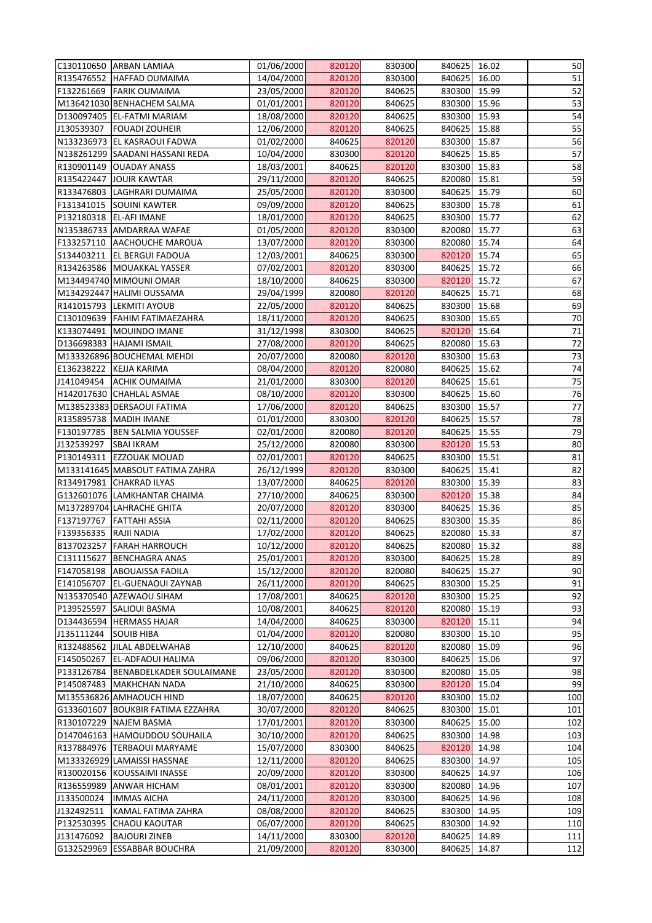|                        | C130110650 ARBAN LAMIAA             | 01/06/2000               | 820120 | 830300           | 840625           | 16.02          | 50              |
|------------------------|-------------------------------------|--------------------------|--------|------------------|------------------|----------------|-----------------|
|                        | R135476552 HAFFAD OUMAIMA           | 14/04/2000               | 820120 | 830300           | 840625           | 16.00          | 51              |
| F132261669             | <b>FARIK OUMAIMA</b>                | 23/05/2000               | 820120 | 840625           | 830300           | 15.99          | 52              |
|                        | M136421030 BENHACHEM SALMA          | 01/01/2001               | 820120 | 840625           | 830300           | 15.96          | 53              |
|                        | D130097405 EL-FATMI MARIAM          | 18/08/2000               | 820120 | 840625           | 830300           | 15.93          | 54              |
| J130539307             | <b>FOUADI ZOUHEIR</b>               | 12/06/2000               | 820120 | 840625           | 840625           | 15.88          | 55              |
|                        | N133236973 EL KASRAOUI FADWA        | 01/02/2000               | 840625 | 820120           | 830300           | 15.87          | 56              |
|                        | N138261299 SAADANI HASSANI REDA     | 10/04/2000               | 830300 | 820120           | 840625           | 15.85          | 57              |
|                        | R130901149 OUADAY ANASS             | 18/03/2001               | 840625 | 820120           | 830300           | 15.83          | 58              |
|                        | R135422447 JOUIR KAWTAR             | 29/11/2000               | 820120 | 840625           | 820080           | 15.81          | 59              |
|                        | R133476803 LAGHRARI OUMAIMA         | 25/05/2000               | 820120 | 830300           | 840625           | 15.79          | 60              |
| F131341015             | <b>SOUINI KAWTER</b>                | 09/09/2000               | 820120 | 840625           | 830300           | 15.78          | 61              |
|                        | P132180318 EL-AFI IMANE             | 18/01/2000               | 820120 | 840625           | 830300           | 15.77          | 62              |
|                        | N135386733 AMDARRAA WAFAE           | 01/05/2000               | 820120 | 830300           | 820080           | 15.77          | 63              |
|                        | F133257110 AACHOUCHE MAROUA         | 13/07/2000               | 820120 | 830300           | 820080           | 15.74          | 64              |
|                        | S134403211   EL BERGUI FADOUA       | 12/03/2001               | 840625 | 830300           | 820120           | 15.74          | 65              |
|                        | R134263586   MOUAKKAL YASSER        | 07/02/2001               | 820120 | 830300           | 840625           | 15.72          | 66              |
|                        | M134494740 MIMOUNI OMAR             | 18/10/2000               | 840625 | 830300           | 820120           | 15.72          | 67              |
|                        | M134292447 HALIMI OUSSAMA           | 29/04/1999               | 820080 | 820120           | 840625           | 15.71          | 68              |
|                        | R141015793 LEKMITI AYOUB            | 22/05/2000               | 820120 | 840625           | 830300           | 15.68          | 69              |
|                        | C130109639   FAHIM FATIMAEZAHRA     | 18/11/2000               | 820120 | 840625           | 830300           | 15.65          | 70              |
|                        | K133074491   MOUINDO IMANE          | 31/12/1998               | 830300 | 840625           | 820120           | 15.64          | 71              |
|                        | D136698383 HAJAMI ISMAIL            | 27/08/2000               | 820120 | 840625           | 820080           | 15.63          | $\overline{72}$ |
|                        | M133326896 BOUCHEMAL MEHDI          | 20/07/2000               | 820080 | 820120           | 830300           | 15.63          | 73              |
|                        | E136238222 KEJJA KARIMA             | 08/04/2000               | 820120 | 820080           | 840625           | 15.62          | 74              |
| J141049454             | <b>ACHIK OUMAIMA</b>                | 21/01/2000               | 830300 | 820120           | 840625           | 15.61          | 75              |
|                        | H142017630 CHAHLAL ASMAE            | 08/10/2000               | 820120 | 830300           | 840625           | 15.60          | 76              |
|                        | M138523383 DERSAOUI FATIMA          | 17/06/2000               | 820120 | 840625           | 830300           | 15.57          | $\overline{77}$ |
|                        | R135895738   MADIH IMANE            | 01/01/2000               | 830300 | 820120           | 840625           | 15.57          | 78              |
| F130197785             | <b>BEN SALMIA YOUSSEF</b>           | 02/01/2000               | 820080 | 820120           | 840625           | 15.55          | 79              |
| J132539297             | <b>SBAI IKRAM</b>                   |                          | 820080 | 830300           | 820120           | 15.53          | 80              |
|                        | P130149311 EZZOUAK MOUAD            | 25/12/2000               | 820120 | 840625           |                  |                |                 |
|                        | M133141645 MABSOUT FATIMA ZAHRA     | 02/01/2001               | 820120 | 830300           | 830300<br>840625 | 15.51<br>15.41 | 81<br>82        |
|                        | R134917981 CHAKRAD ILYAS            | 26/12/1999<br>13/07/2000 | 840625 | 820120           | 830300           | 15.39          | 83              |
|                        | G132601076 LAMKHANTAR CHAIMA        |                          | 840625 |                  | 820120           | 15.38          | 84              |
|                        |                                     | 27/10/2000<br>20/07/2000 | 820120 | 830300<br>830300 | 840625           | 15.36          | 85              |
|                        | M137289704 LAHRACHE GHITA           |                          |        |                  |                  |                |                 |
| F137197767             | <b>FATTAHI ASSIA</b>                | 02/11/2000               | 820120 | 840625           | 830300           | 15.35          | 86<br>87        |
| F139356335 RAJII NADIA |                                     | 17/02/2000               | 820120 | 840625           | 820080           | 15.33          |                 |
|                        | B137023257 FARAH HARROUCH           | 10/12/2000               | 820120 | 840625           | 820080           | 15.32          | 88              |
| C131115627             | <b>BENCHAGRA ANAS</b>               | 25/01/2001               | 820120 | 830300           | 840625           | 15.28          | 89              |
| F147058198             | <b>ABOUAISSA FADILA</b>             | 15/12/2000               | 820120 | 820080           | 840625           | 15.27          | 90              |
| E141056707             | <b>EL-GUENAOUI ZAYNAB</b>           | 26/11/2000               | 820120 | 840625           | 830300           | 15.25          | 91              |
|                        | N135370540 AZEWAOU SIHAM            | 17/08/2001               | 840625 | 820120           | 830300           | 15.25          | 92              |
|                        | P139525597 SALIOUI BASMA            | 10/08/2001               | 840625 | 820120           | 820080           | 15.19          | 93              |
|                        | D134436594  HERMASS HAJAR           | 14/04/2000               | 840625 | 830300           | 820120           | 15.11          | 94              |
| J135111244             | <b>SOUIB HIBA</b>                   | 01/04/2000               | 820120 | 820080           | 830300           | 15.10          | 95              |
|                        | R132488562 JJILAL ABDELWAHAB        | 12/10/2000               | 840625 | 820120           | 820080           | 15.09          | 96              |
| F145050267             | <b>EL-ADFAOUI HALIMA</b>            | 09/06/2000               | 820120 | 830300           | 840625           | 15.06          | 97              |
|                        | P133126784 BENABDELKADER SOULAIMANE | 23/05/2000               | 820120 | 830300           | 820080           | 15.05          | 98              |
| P145087483             | MAKHCHAN NADA                       | 21/10/2000               | 840625 | 830300           | 820120           | 15.04          | 99              |
|                        | M135536826 AMHAOUCH HIND            | 18/07/2000               | 840625 | 820120           | 830300           | 15.02          | 100             |
|                        | G133601607 BOUKBIR FATIMA EZZAHRA   | 30/07/2000               | 820120 | 840625           | 830300           | 15.01          | 101             |
|                        | R130107229   NAJEM BASMA            | 17/01/2001               | 820120 | 830300           | 840625           | 15.00          | 102             |
|                        | D147046163  HAMOUDDOU SOUHAILA      | 30/10/2000               | 820120 | 840625           | 830300           | 14.98          | 103             |
|                        | R137884976   TERBAOUI MARYAME       | 15/07/2000               | 830300 | 840625           | 820120           | 14.98          | 104             |
|                        | M133326929 LAMAISSI HASSNAE         | 12/11/2000               | 820120 | 840625           | 830300           | 14.97          | 105             |
|                        | R130020156 KOUSSAIMI INASSE         | 20/09/2000               | 820120 | 830300           | 840625           | 14.97          | 106             |
|                        | R136559989 ANWAR HICHAM             | 08/01/2001               | 820120 | 830300           | 820080           | 14.96          | 107             |
| J133500024             | <b>IMMAS AICHA</b>                  | 24/11/2000               | 820120 | 830300           | 840625           | 14.96          | 108             |
| J132492511             | KAMAL FATIMA ZAHRA                  | 08/08/2000               | 820120 | 840625           | 830300           | 14.95          | 109             |
| P132530395             | <b>CHAOU KAOUTAR</b>                | 06/07/2000               | 820120 | 840625           | 830300           | 14.92          | 110             |
| J131476092             | <b>BAJOURI ZINEB</b>                | 14/11/2000               | 830300 | 820120           | 840625           | 14.89          | 111             |
|                        | G132529969 ESSABBAR BOUCHRA         | 21/09/2000               | 820120 | 830300           | 840625 14.87     |                | 112             |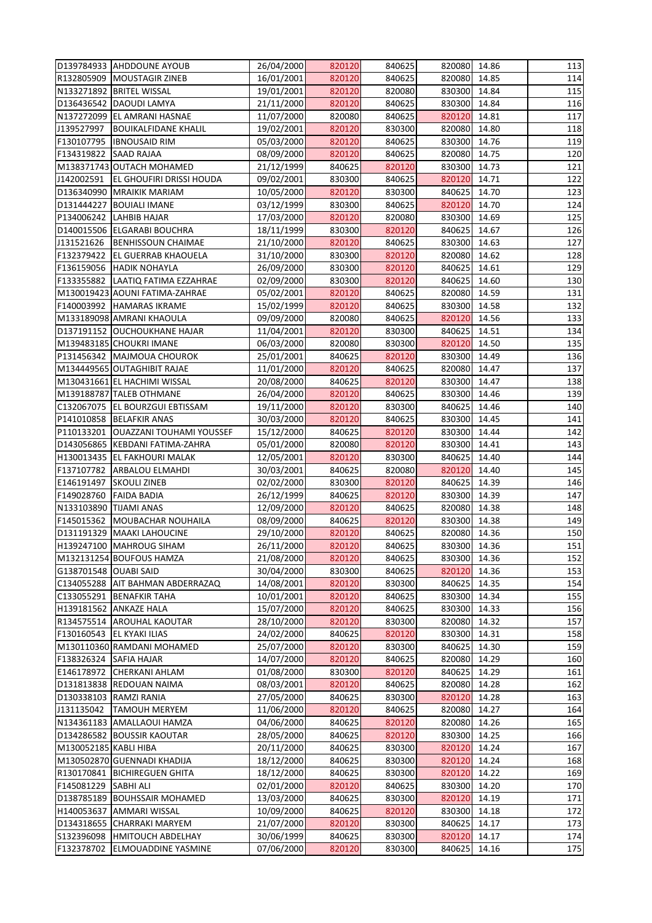| D139784933 AHDDOUNE AYOUB                     | 26/04/2000               | 820120           | 840625           | 820080           | 14.86          | 113 |
|-----------------------------------------------|--------------------------|------------------|------------------|------------------|----------------|-----|
| R132805909 MOUSTAGIR ZINEB                    | 16/01/2001               | 820120           | 840625           | 820080           | 14.85          | 114 |
| N133271892 BRITEL WISSAL                      | 19/01/2001               | 820120           | 820080           | 830300           | 14.84          | 115 |
| D136436542 DAOUDI LAMYA                       | 21/11/2000               | 820120           | 840625           | 830300           | 14.84          | 116 |
| N137272099 EL AMRANI HASNAE                   | 11/07/2000               | 820080           | 840625           | 820120           | 14.81          | 117 |
| J139527997<br><b>BOUIKALFIDANE KHALIL</b>     | 19/02/2001               | 820120           | 830300           | 820080           | 14.80          | 118 |
| F130107795  IBNOUSAID RIM                     | 05/03/2000               | 820120           | 840625           | 830300           | 14.76          | 119 |
| F134319822<br><b>SAAD RAJAA</b>               | 08/09/2000               | 820120           | 840625           | 820080           | 14.75          | 120 |
| M138371743 OUTACH MOHAMED                     | 21/12/1999               | 840625           | 820120           | 830300           | 14.73          | 121 |
| J142002591<br><b>EL GHOUFIRI DRISSI HOUDA</b> | 09/02/2001               | 830300           | 840625           | 820120           | 14.71          | 122 |
| D136340990 MRAIKIK MARIAM                     | 10/05/2000               | 820120           | 830300           | 840625           | 14.70          | 123 |
| D131444227 BOUIALI IMANE                      | 03/12/1999               | 830300           | 840625           | 820120           | 14.70          | 124 |
| P134006242  LAHBIB HAJAR                      | 17/03/2000               | 820120           | 820080           | 830300           | 14.69          | 125 |
| D140015506 ELGARABI BOUCHRA                   | 18/11/1999               | 830300           | 820120           | 840625           | 14.67          | 126 |
| J131521626<br><b>BENHISSOUN CHAIMAE</b>       | 21/10/2000               | 820120           | 840625           | 830300           | 14.63          | 127 |
| F132379422<br><b>EL GUERRAB KHAOUELA</b>      | 31/10/2000               | 830300           | 820120           | 820080           | 14.62          | 128 |
| F136159056 HADIK NOHAYLA                      | 26/09/2000               | 830300           | 820120           | 840625           | 14.61          | 129 |
| F133355882  LAATIQ FATIMA EZZAHRAE            | 02/09/2000               | 830300           | 820120           | 840625           | 14.60          | 130 |
| M130019423 AOUNI FATIMA-ZAHRAE                | 05/02/2001               | 820120           | 840625           | 820080           | 14.59          | 131 |
| F140003992 HAMARAS IKRAME                     | 15/02/1999               | 820120           | 840625           | 830300           | 14.58          | 132 |
| M133189098 AMRANI KHAOULA                     | 09/09/2000               | 820080           | 840625           | 820120           | 14.56          | 133 |
| D137191152 OUCHOUKHANE HAJAR                  | 11/04/2001               | 820120           | 830300           | 840625           | 14.51          | 134 |
| M139483185 CHOUKRI IMANE                      | 06/03/2000               | 820080           | 830300           | 820120           | 14.50          | 135 |
| P131456342   MAJMOUA CHOUROK                  | 25/01/2001               | 840625           | 820120           | 830300           | 14.49          | 136 |
| M134449565 OUTAGHIBIT RAJAE                   | 11/01/2000               | 820120           | 840625           | 820080           | 14.47          | 137 |
| M130431661 EL HACHIMI WISSAL                  | 20/08/2000               | 840625           | 820120           | 830300           | 14.47          | 138 |
| M139188787 TALEB OTHMANE                      |                          | 820120           | 840625           | 830300           | 14.46          | 139 |
| C132067075   EL BOURZGUI EBTISSAM             | 26/04/2000<br>19/11/2000 | 820120           |                  | 840625           | 14.46          | 140 |
| P141010858 BELAFKIR ANAS                      |                          | 820120           | 830300<br>840625 | 830300           | 14.45          | 141 |
|                                               | 30/03/2000               |                  |                  |                  |                |     |
| P110133201   OUAZZANI TOUHAMI YOUSSEF         | 15/12/2000               | 840625<br>820080 | 820120           | 830300           | 14.44          | 142 |
| D143056865   KEBDANI FATIMA-ZAHRA             | 05/01/2000               |                  | 820120           | 830300           | 14.41          | 143 |
| H130013435 EL FAKHOURI MALAK                  | 12/05/2001               | 820120           | 830300           | 840625           | 14.40          | 144 |
| F137107782 ARBALOU ELMAHDI                    | 30/03/2001               | 840625           | 820080           | 820120<br>840625 | 14.40<br>14.39 | 145 |
| E146191497 SKOULI ZINEB                       | 02/02/2000               | 830300           | 820120           |                  |                | 146 |
| F149028760<br><b>FAIDA BADIA</b>              | 26/12/1999               | 840625           | 820120<br>840625 | 830300           | 14.39          | 147 |
| N133103890 TIJAMI ANAS                        | 12/09/2000               | 820120           |                  | 820080<br>830300 | 14.38          | 148 |
| F145015362 MOUBACHAR NOUHAILA                 | 08/09/2000               | 840625           | 820120           |                  | 14.38          | 149 |
| D131191329   MAAKI LAHOUCINE                  | 29/10/2000               | 820120           | 840625           | 820080           | 14.36          | 150 |
| H139247100 MAHROUG SIHAM                      | 26/11/2000               | 820120           | 840625           | 830300           | 14.36          | 151 |
| M132131254 BOUFOUS HAMZA                      | 21/08/2000               | 820120           | 840625           | 830300           | 14.36          | 152 |
| G138701548 OUABI SAID                         | 30/04/2000               | 830300           | 840625           | 820120           | 14.36          | 153 |
| C134055288 AIT BAHMAN ABDERRAZAQ              | 14/08/2001               | 820120           | 830300           | 840625           | 14.35          | 154 |
| C133055291 BENAFKIR TAHA                      | 10/01/2001               | 820120           | 840625           | 830300           | 14.34          | 155 |
| H139181562 ANKAZE HALA                        | 15/07/2000               | 820120           | 840625           | 830300           | 14.33          | 156 |
| R134575514 AROUHAL KAOUTAR                    | 28/10/2000               | 820120           | 830300           | 820080           | 14.32          | 157 |
| F130160543 EL KYAKI ILIAS                     | 24/02/2000               | 840625           | 820120           | 830300           | 14.31          | 158 |
| M130110360 RAMDANI MOHAMED                    | 25/07/2000               | 820120           | 830300           | 840625           | 14.30          | 159 |
| F138326324 SAFIA HAJAR                        | 14/07/2000               | 820120           | 840625           | 820080           | 14.29          | 160 |
| E146178972 CHERKANI AHLAM                     | 01/08/2000               | 830300           | 820120           | 840625           | 14.29          | 161 |
| D131813838 REDOUAN NAIMA                      | 08/03/2001               | 820120           | 840625           | 820080           | 14.28          | 162 |
| D130338103 RAMZI RANIA                        | 27/05/2000               | 840625           | 830300           | 820120           | 14.28          | 163 |
| J131135042<br><b>TAMOUH MERYEM</b>            | 11/06/2000               | 820120           | 840625           | 820080           | 14.27          | 164 |
| N134361183 AMALLAOUI HAMZA                    | 04/06/2000               | 840625           | 820120           | 820080           | 14.26          | 165 |
| D134286582 BOUSSIR KAOUTAR                    | 28/05/2000               | 840625           | 820120           | 830300           | 14.25          | 166 |
| M130052185 KABLI HIBA                         | 20/11/2000               | 840625           | 830300           | 820120           | 14.24          | 167 |
| M130502870 GUENNADI KHADIJA                   | 18/12/2000               | 840625           | 830300           | 820120           | 14.24          | 168 |
| R130170841 BICHIREGUEN GHITA                  | 18/12/2000               | 840625           | 830300           | 820120           | 14.22          | 169 |
| F145081229 SABHI ALI                          | 02/01/2000               | 820120           | 840625           | 830300           | 14.20          | 170 |
| D138785189 BOUHSSAIR MOHAMED                  | 13/03/2000               | 840625           | 830300           | 820120           | 14.19          | 171 |
| H140053637 AMMARI WISSAL                      | 10/09/2000               | 840625           | 820120           | 830300           | 14.18          | 172 |
| D134318655 CHARRAKI MARYEM                    | 21/07/2000               | 820120           | 830300           | 840625           | 14.17          | 173 |
| S132396098  HMITOUCH ABDELHAY                 | 30/06/1999               | 840625           | 830300           | 820120           | 14.17          | 174 |
| F132378702 ELMOUADDINE YASMINE                | 07/06/2000               | 820120           | 830300           | 840625 14.16     |                | 175 |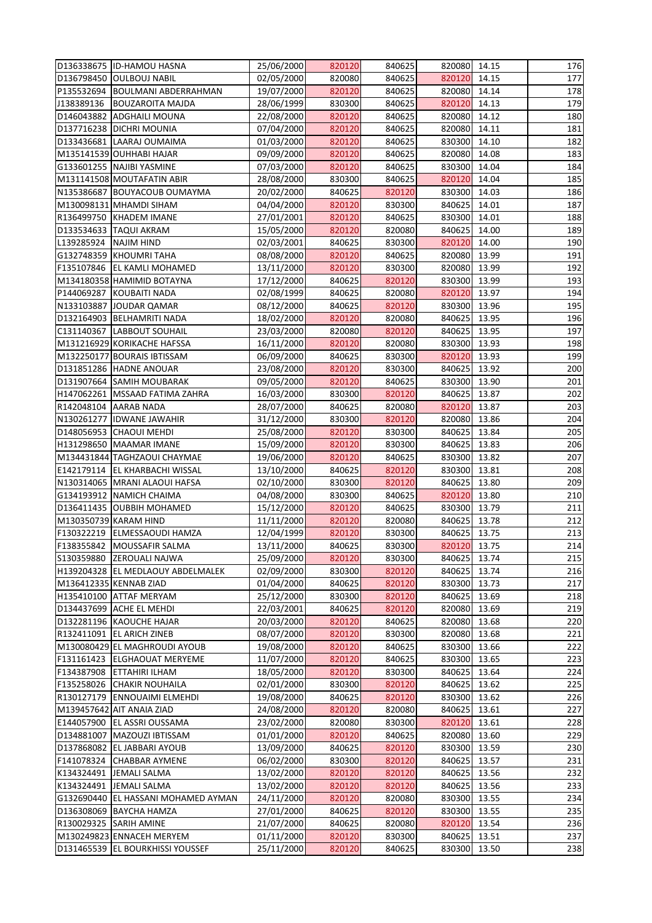|                          | D136338675 ID-HAMOU HASNA           | 25/06/2000 | 820120 | 840625 | 820080       | 14.15 | 176 |
|--------------------------|-------------------------------------|------------|--------|--------|--------------|-------|-----|
|                          | D136798450 OULBOUJ NABIL            | 02/05/2000 | 820080 | 840625 | 820120       | 14.15 | 177 |
|                          | P135532694 BOULMANI ABDERRAHMAN     | 19/07/2000 | 820120 | 840625 | 820080       | 14.14 | 178 |
| J138389136               | <b>BOUZAROITA MAJDA</b>             | 28/06/1999 | 830300 | 840625 | 820120       | 14.13 | 179 |
|                          | D146043882 ADGHAILI MOUNA           | 22/08/2000 | 820120 | 840625 | 820080       | 14.12 | 180 |
|                          | D137716238   DICHRI MOUNIA          | 07/04/2000 | 820120 | 840625 | 820080       | 14.11 | 181 |
|                          | D133436681 LAARAJ OUMAIMA           | 01/03/2000 | 820120 | 840625 | 830300       | 14.10 | 182 |
|                          |                                     |            |        |        |              |       |     |
|                          | M135141539 OUHHABI HAJAR            | 09/09/2000 | 820120 | 840625 | 820080       | 14.08 | 183 |
|                          | G133601255 NAJIBI YASMINE           | 07/03/2000 | 820120 | 840625 | 830300       | 14.04 | 184 |
|                          | M131141508 MOUTAFATIN ABIR          | 28/08/2000 | 830300 | 840625 | 820120       | 14.04 | 185 |
|                          | N135386687 BOUYACOUB OUMAYMA        | 20/02/2000 | 840625 | 820120 | 830300       | 14.03 | 186 |
|                          | M130098131 MHAMDI SIHAM             | 04/04/2000 | 820120 | 830300 | 840625       | 14.01 | 187 |
|                          | R136499750 KHADEM IMANE             | 27/01/2001 | 820120 | 840625 | 830300       | 14.01 | 188 |
| D133534633   TAQUI AKRAM |                                     | 15/05/2000 | 820120 | 820080 | 840625       | 14.00 | 189 |
| L139285924               | <b>NAJIM HIND</b>                   | 02/03/2001 | 840625 | 830300 | 820120       | 14.00 | 190 |
|                          | G132748359 KHOUMRI TAHA             | 08/08/2000 | 820120 | 840625 | 820080       | 13.99 | 191 |
|                          | F135107846 EL KAMLI MOHAMED         | 13/11/2000 | 820120 | 830300 | 820080       | 13.99 | 192 |
|                          | M134180358 HAMIMID BOTAYNA          | 17/12/2000 | 840625 | 820120 | 830300       | 13.99 | 193 |
|                          | P144069287 KOUBAITI NADA            | 02/08/1999 | 840625 | 820080 | 820120       | 13.97 | 194 |
|                          | N133103887 JOUDAR QAMAR             | 08/12/2000 | 840625 | 820120 | 830300       | 13.96 | 195 |
|                          | D132164903   BELHAMRITI NADA        | 18/02/2000 | 820120 | 820080 | 840625       | 13.95 | 196 |
|                          |                                     |            |        |        |              |       |     |
|                          | C131140367  LABBOUT SOUHAIL         | 23/03/2000 | 820080 | 820120 | 840625       | 13.95 | 197 |
|                          | M131216929 KORIKACHE HAFSSA         | 16/11/2000 | 820120 | 820080 | 830300       | 13.93 | 198 |
|                          | M132250177 BOURAIS IBTISSAM         | 06/09/2000 | 840625 | 830300 | 820120       | 13.93 | 199 |
|                          | D131851286 HADNE ANOUAR             | 23/08/2000 | 820120 | 830300 | 840625       | 13.92 | 200 |
|                          | D131907664 SAMIH MOUBARAK           | 09/05/2000 | 820120 | 840625 | 830300       | 13.90 | 201 |
|                          | H147062261   MSSAAD FATIMA ZAHRA    | 16/03/2000 | 830300 | 820120 | 840625       | 13.87 | 202 |
| R142048104 AARAB NADA    |                                     | 28/07/2000 | 840625 | 820080 | 820120       | 13.87 | 203 |
|                          | N130261277   IDWANE JAWAHIR         | 31/12/2000 | 830300 | 820120 | 820080       | 13.86 | 204 |
|                          | D148056953 CHAOUI MEHDI             | 25/08/2000 | 820120 | 830300 | 840625       | 13.84 | 205 |
|                          | H131298650 MAAMAR IMANE             | 15/09/2000 | 820120 | 830300 | 840625       | 13.83 | 206 |
|                          | M134431844 TAGHZAOUI CHAYMAE        | 19/06/2000 | 820120 | 840625 | 830300 13.82 |       | 207 |
|                          | E142179114 EL KHARBACHI WISSAL      | 13/10/2000 | 840625 | 820120 | 830300       | 13.81 | 208 |
|                          | N130314065 MRANI ALAOUI HAFSA       | 02/10/2000 | 830300 | 820120 | 840625       | 13.80 | 209 |
|                          | G134193912 NAMICH CHAIMA            | 04/08/2000 | 830300 | 840625 | 820120       | 13.80 | 210 |
|                          | D136411435 OUBBIH MOHAMED           | 15/12/2000 | 820120 | 840625 | 830300       | 13.79 | 211 |
|                          |                                     |            |        |        |              |       |     |
| M130350739 KARAM HIND    |                                     | 11/11/2000 | 820120 | 820080 | 840625       | 13.78 | 212 |
|                          | F130322219 ELMESSAOUDI HAMZA        | 12/04/1999 | 820120 | 830300 | 840625       | 13.75 | 213 |
|                          | F138355842 MOUSSAFIR SALMA          | 13/11/2000 | 840625 | 830300 | 820120       | 13.75 | 214 |
| S130359880               | <b>ZEROUALI NAJWA</b>               | 25/09/2000 | 820120 | 830300 | 840625       | 13.74 | 215 |
|                          | H139204328 EL MEDLAOUY ABDELMALEK   | 02/09/2000 | 830300 | 820120 | 840625       | 13.74 | 216 |
| M136412335 KENNAB ZIAD   |                                     | 01/04/2000 | 840625 | 820120 | 830300       | 13.73 | 217 |
|                          | H135410100 ATTAF MERYAM             | 25/12/2000 | 830300 | 820120 | 840625       | 13.69 | 218 |
|                          | D134437699 ACHE EL MEHDI            | 22/03/2001 | 840625 | 820120 | 820080       | 13.69 | 219 |
|                          | D132281196 KAOUCHE HAJAR            | 20/03/2000 | 820120 | 840625 | 820080       | 13.68 | 220 |
|                          | R132411091 EL ARICH ZINEB           | 08/07/2000 | 820120 | 830300 | 820080       | 13.68 | 221 |
|                          | M130080429 EL MAGHROUDI AYOUB       | 19/08/2000 | 820120 | 840625 | 830300       | 13.66 | 222 |
|                          | F131161423   ELGHAOUAT MERYEME      | 11/07/2000 | 820120 | 840625 | 830300       | 13.65 | 223 |
|                          | F134387908 ETTAHIRI ILHAM           | 18/05/2000 | 820120 | 830300 | 840625       | 13.64 | 224 |
|                          | F135258026 CHAKIR NOUHAILA          | 02/01/2000 | 830300 | 820120 | 840625       | 13.62 | 225 |
|                          | R130127179 ENNOUAIMI ELMEHDI        | 19/08/2000 | 840625 | 820120 | 830300       | 13.62 | 226 |
|                          | M139457642 AIT ANAIA ZIAD           | 24/08/2000 | 820120 | 820080 | 840625       | 13.61 | 227 |
|                          |                                     |            |        |        |              |       |     |
|                          | E144057900 EL ASSRI OUSSAMA         | 23/02/2000 | 820080 | 830300 | 820120       | 13.61 | 228 |
|                          | D134881007   MAZOUZI IBTISSAM       | 01/01/2000 | 820120 | 840625 | 820080       | 13.60 | 229 |
|                          | D137868082 EL JABBARI AYOUB         | 13/09/2000 | 840625 | 820120 | 830300       | 13.59 | 230 |
|                          | F141078324 CHABBAR AYMENE           | 06/02/2000 | 830300 | 820120 | 840625       | 13.57 | 231 |
| K134324491 JEMALI SALMA  |                                     | 13/02/2000 | 820120 | 820120 | 840625       | 13.56 | 232 |
| K134324491 JEMALI SALMA  |                                     | 13/02/2000 | 820120 | 820120 | 840625       | 13.56 | 233 |
|                          | G132690440 EL HASSANI MOHAMED AYMAN | 24/11/2000 | 820120 | 820080 | 830300       | 13.55 | 234 |
|                          | D136308069 BAYCHA HAMZA             | 27/01/2000 | 840625 | 820120 | 830300       | 13.55 | 235 |
| R130029325 SARIH AMINE   |                                     | 21/07/2000 | 840625 | 820080 | 820120       | 13.54 | 236 |
|                          | M130249823 ENNACEH MERYEM           | 01/11/2000 | 820120 | 830300 | 840625       | 13.51 | 237 |
|                          | D131465539 EL BOURKHISSI YOUSSEF    | 25/11/2000 | 820120 | 840625 | 830300 13.50 |       | 238 |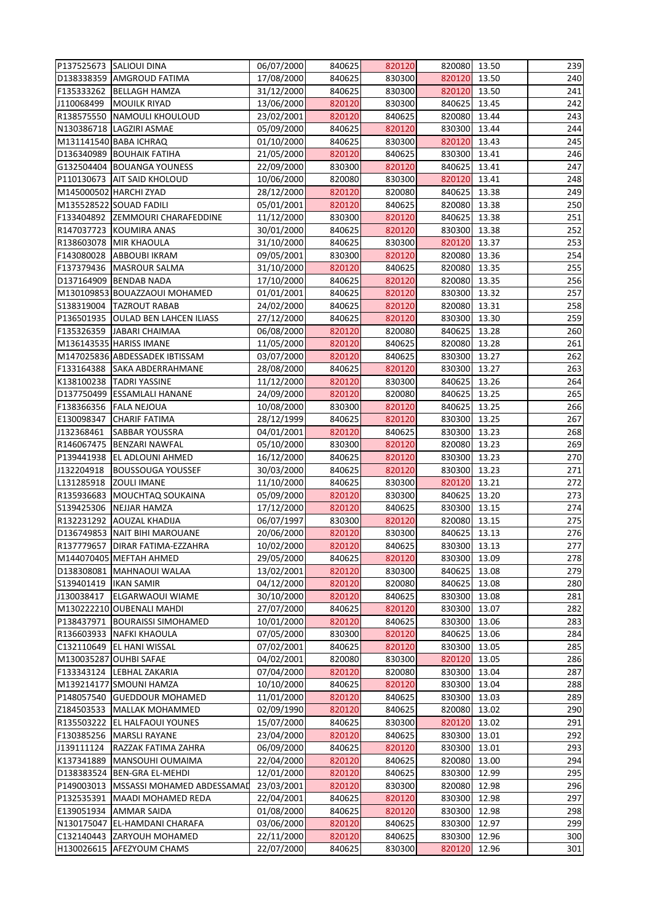|            | P137525673 SALIOUI DINA                 | 06/07/2000 | 840625 | 820120 | 820080       | 13.50 | 239 |
|------------|-----------------------------------------|------------|--------|--------|--------------|-------|-----|
|            | D138338359 AMGROUD FATIMA               | 17/08/2000 | 840625 | 830300 | 820120       | 13.50 | 240 |
|            | F135333262 BELLAGH HAMZA                | 31/12/2000 | 840625 | 830300 | 820120       | 13.50 | 241 |
| J110068499 | <b>MOUILK RIYAD</b>                     | 13/06/2000 | 820120 | 830300 | 840625       | 13.45 | 242 |
|            | R138575550 NAMOULI KHOULOUD             | 23/02/2001 | 820120 | 840625 | 820080       | 13.44 | 243 |
|            | N130386718 LAGZIRI ASMAE                | 05/09/2000 | 840625 | 820120 | 830300       | 13.44 | 244 |
|            | M131141540 BABA ICHRAQ                  | 01/10/2000 | 840625 | 830300 | 820120       | 13.43 | 245 |
|            | D136340989 BOUHAIK FATIHA               | 21/05/2000 | 820120 | 840625 | 830300       | 13.41 | 246 |
|            | G132504404 BOUANGA YOUNESS              | 22/09/2000 | 830300 | 820120 | 840625       | 13.41 | 247 |
|            | P110130673 AIT SAID KHOLOUD             | 10/06/2000 | 820080 | 830300 | 820120       | 13.41 | 248 |
|            | M145000502 HARCHI ZYAD                  | 28/12/2000 | 820120 | 820080 | 840625       | 13.38 | 249 |
|            | M135528522 SOUAD FADILI                 | 05/01/2001 | 820120 | 840625 | 820080       | 13.38 | 250 |
|            | F133404892 ZEMMOURI CHARAFEDDINE        | 11/12/2000 | 830300 | 820120 | 840625       | 13.38 | 251 |
|            | R147037723 KOUMIRA ANAS                 | 30/01/2000 | 840625 | 820120 | 830300       | 13.38 | 252 |
|            | R138603078 MIR KHAOULA                  | 31/10/2000 | 840625 | 830300 | 820120       | 13.37 | 253 |
|            | F143080028 ABBOUBI IKRAM                | 09/05/2001 | 830300 | 820120 | 820080       | 13.36 | 254 |
|            |                                         |            |        |        |              |       | 255 |
|            | F137379436   MASROUR SALMA              | 31/10/2000 | 820120 | 840625 | 820080       | 13.35 |     |
|            | D137164909 BENDAB NADA                  | 17/10/2000 | 840625 | 820120 | 820080       | 13.35 | 256 |
|            | M130109853 BOUAZZAOUI MOHAMED           | 01/01/2001 | 840625 | 820120 | 830300       | 13.32 | 257 |
|            | S138319004   TAZROUT RABAB              | 24/02/2000 | 840625 | 820120 | 820080       | 13.31 | 258 |
|            | P136501935   OULAD BEN LAHCEN ILIASS    | 27/12/2000 | 840625 | 820120 | 830300       | 13.30 | 259 |
| F135326359 | JABARI CHAIMAA                          | 06/08/2000 | 820120 | 820080 | 840625       | 13.28 | 260 |
|            | M136143535 HARISS IMANE                 | 11/05/2000 | 820120 | 840625 | 820080       | 13.28 | 261 |
|            | M147025836 ABDESSADEK IBTISSAM          | 03/07/2000 | 820120 | 840625 | 830300       | 13.27 | 262 |
|            | F133164388 SAKA ABDERRAHMANE            | 28/08/2000 | 840625 | 820120 | 830300       | 13.27 | 263 |
|            | K138100238  TADRI YASSINE               | 11/12/2000 | 820120 | 830300 | 840625       | 13.26 | 264 |
|            | D137750499 ESSAMLALI HANANE             | 24/09/2000 | 820120 | 820080 | 840625       | 13.25 | 265 |
|            | F138366356   FALA NEJOUA                | 10/08/2000 | 830300 | 820120 | 840625       | 13.25 | 266 |
| E130098347 | <b>CHARIF FATIMA</b>                    | 28/12/1999 | 840625 | 820120 | 830300       | 13.25 | 267 |
| J132368461 | <b>SABBAR YOUSSRA</b>                   | 04/01/2001 | 820120 | 840625 | 830300       | 13.23 | 268 |
|            | R146067475   BENZARI NAWFAL             | 05/10/2000 | 830300 | 820120 | 820080       | 13.23 | 269 |
|            | P139441938 EL ADLOUNI AHMED             | 16/12/2000 | 840625 | 820120 | 830300 13.23 |       | 270 |
| J132204918 | <b>BOUSSOUGA YOUSSEF</b>                | 30/03/2000 | 840625 | 820120 | 830300       | 13.23 | 271 |
|            | L131285918 ZOULI IMANE                  | 11/10/2000 | 840625 | 830300 | 820120       | 13.21 | 272 |
|            | R135936683 MOUCHTAQ SOUKAINA            | 05/09/2000 | 820120 | 830300 | 840625       | 13.20 | 273 |
| S139425306 | <b>NEJJAR HAMZA</b>                     | 17/12/2000 | 820120 | 840625 | 830300       | 13.15 | 274 |
|            | R132231292 AOUZAL KHADIJA               | 06/07/1997 | 830300 | 820120 | 820080       | 13.15 | 275 |
|            | D136749853 NAIT BIHI MAROUANE           | 20/06/2000 | 820120 | 830300 | 840625       | 13.13 | 276 |
|            | R137779657   DIRAR FATIMA-EZZAHRA       | 10/02/2000 | 820120 | 840625 | 830300       | 13.13 | 277 |
|            | M144070405 MEFTAH AHMED                 | 29/05/2000 | 840625 | 820120 | 830300       | 13.09 | 278 |
|            | D138308081   MAHNAOUI WALAA             | 13/02/2001 | 820120 | 830300 | 840625       | 13.08 | 279 |
| S139401419 | <b>IKAN SAMIR</b>                       | 04/12/2000 | 820120 | 820080 | 840625       | 13.08 | 280 |
| J130038417 | <b>ELGARWAOUI WIAME</b>                 | 30/10/2000 | 820120 | 840625 | 830300       | 13.08 | 281 |
|            | M130222210 OUBENALI MAHDI               | 27/07/2000 | 840625 | 820120 | 830300       | 13.07 | 282 |
|            | P138437971   BOURAISSI SIMOHAMED        | 10/01/2000 | 820120 | 840625 | 830300       | 13.06 | 283 |
|            | R136603933 NAFKI KHAOULA                | 07/05/2000 | 830300 | 820120 | 840625       | 13.06 | 284 |
|            | C132110649 EL HANI WISSAL               | 07/02/2001 | 840625 | 820120 | 830300       | 13.05 | 285 |
|            | M130035287 OUHBI SAFAE                  | 04/02/2001 | 820080 | 830300 | 820120       | 13.05 | 286 |
|            | F133343124  LEBHAL ZAKARIA              | 07/04/2000 | 820120 | 820080 | 830300       | 13.04 | 287 |
|            | M139214177 SMOUNI HAMZA                 | 10/10/2000 | 840625 | 820120 | 830300       | 13.04 | 288 |
|            | P148057540 GUEDDOUR MOHAMED             | 11/01/2000 | 820120 | 840625 | 830300       | 13.03 | 289 |
|            | Z184503533   MALLAK MOHAMMED            | 02/09/1990 | 820120 | 840625 | 820080       | 13.02 | 290 |
|            | R135503222 EL HALFAOUI YOUNES           | 15/07/2000 | 840625 | 830300 | 820120       | 13.02 | 291 |
|            | F130385256 MARSLI RAYANE                | 23/04/2000 | 820120 | 840625 | 830300       | 13.01 | 292 |
| J139111124 | RAZZAK FATIMA ZAHRA                     | 06/09/2000 | 840625 | 820120 | 830300       | 13.01 | 293 |
| K137341889 | MANSOUHI OUMAIMA                        | 22/04/2000 | 820120 | 840625 | 820080       | 13.00 | 294 |
|            | D138383524   BEN-GRA EL-MEHDI           | 12/01/2000 | 820120 | 840625 | 830300       | 12.99 | 295 |
|            | P149003013   MSSASSI MOHAMED ABDESSAMAD | 23/03/2001 | 820120 | 830300 | 820080       | 12.98 | 296 |
| P132535391 | MAADI MOHAMED REDA                      | 22/04/2001 | 840625 | 820120 | 830300       | 12.98 | 297 |
| E139051934 | <b>AMMAR SAIDA</b>                      | 01/08/2000 | 840625 | 820120 | 830300       | 12.98 | 298 |
|            | N130175047 EL-HAMDANI CHARAFA           | 03/06/2000 | 820120 | 840625 | 830300       | 12.97 | 299 |
|            | C132140443 ZARYOUH MOHAMED              | 22/11/2000 | 820120 | 840625 | 830300       | 12.96 | 300 |
|            | H130026615 AFEZYOUM CHAMS               | 22/07/2000 | 840625 | 830300 | 820120 12.96 |       | 301 |
|            |                                         |            |        |        |              |       |     |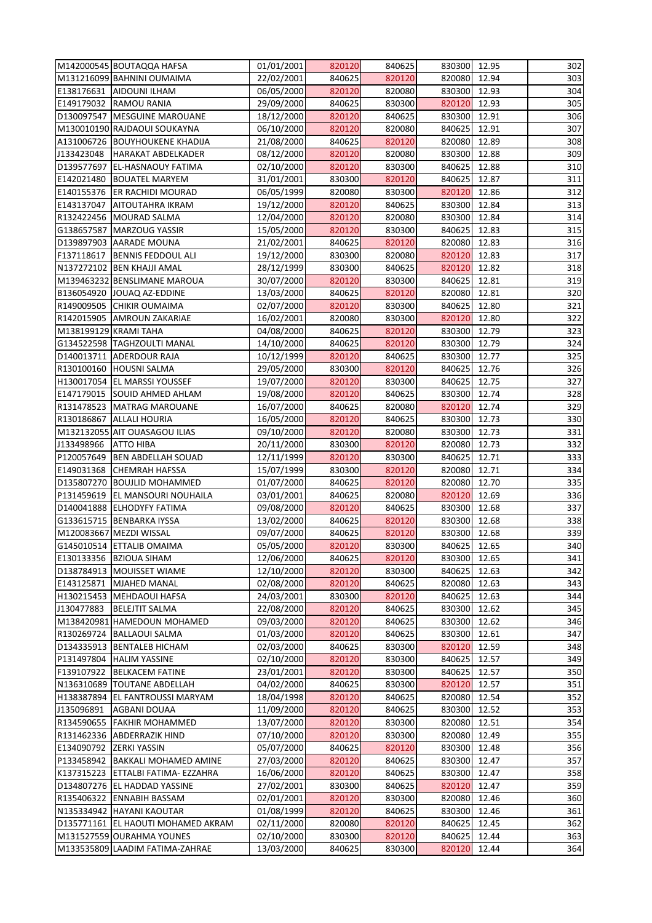| M142000545 BOUTAQQA HAFSA             | 01/01/2001 | 820120           | 840625 | 830300       | 12.95          | 302 |
|---------------------------------------|------------|------------------|--------|--------------|----------------|-----|
| M131216099 BAHNINI OUMAIMA            | 22/02/2001 | 840625           | 820120 | 820080       | 12.94          | 303 |
| E138176631 AIDOUNI ILHAM              | 06/05/2000 | 820120           | 820080 | 830300       | 12.93          | 304 |
| E149179032 RAMOU RANIA                | 29/09/2000 | 840625           | 830300 | 820120       | 12.93          | 305 |
| D130097547   MESGUINE MAROUANE        | 18/12/2000 | 820120           | 840625 | 830300       | 12.91          | 306 |
| M130010190 RAJDAOUI SOUKAYNA          | 06/10/2000 | 820120           | 820080 | 840625       | 12.91          | 307 |
| A131006726 BOUYHOUKENE KHADIJA        | 21/08/2000 | 840625           | 820120 | 820080       | 12.89          | 308 |
| J133423048<br>HARAKAT ABDELKADER      | 08/12/2000 | 820120           | 820080 | 830300       | 12.88          | 309 |
| D139577697 EL-HASNAOUY FATIMA         | 02/10/2000 | 820120           | 830300 | 840625       | 12.88          | 310 |
| E142021480   BOUATEL MARYEM           | 31/01/2001 | 830300           | 820120 | 840625       | 12.87          | 311 |
| E140155376 ER RACHIDI MOURAD          | 06/05/1999 | 820080           | 830300 | 820120       | 12.86          | 312 |
| E143137047<br><b>AITOUTAHRA IKRAM</b> | 19/12/2000 | 820120           | 840625 | 830300       | 12.84          | 313 |
| R132422456 MOURAD SALMA               | 12/04/2000 | 820120           | 820080 | 830300       | 12.84          | 314 |
| G138657587 MARZOUG YASSIR             | 15/05/2000 | 820120           | 830300 | 840625       | 12.83          | 315 |
|                                       |            |                  |        |              |                |     |
| D139897903 AARADE MOUNA               | 21/02/2001 | 840625           | 820120 | 820080       | 12.83          | 316 |
| F137118617  BENNIS FEDDOUL ALI        | 19/12/2000 | 830300           | 820080 | 820120       | 12.83          | 317 |
| N137272102 BEN KHAJJI AMAL            | 28/12/1999 | 830300           | 840625 | 820120       | 12.82          | 318 |
| M139463232 BENSLIMANE MAROUA          | 30/07/2000 | 820120           | 830300 | 840625       | 12.81          | 319 |
| B136054920 JOUAQ AZ-EDDINE            | 13/03/2000 | 840625           | 820120 | 820080       | 12.81          | 320 |
| R149009505 CHIKIR OUMAIMA             | 02/07/2000 | 820120           | 830300 | 840625       | 12.80          | 321 |
| R142015905   AMROUN ZAKARIAE          | 16/02/2001 | 820080           | 830300 | 820120       | 12.80          | 322 |
| M138199129 KRAMI TAHA                 | 04/08/2000 | 840625           | 820120 | 830300       | 12.79          | 323 |
| G134522598   TAGHZOULTI MANAL         | 14/10/2000 | 840625           | 820120 | 830300       | 12.79          | 324 |
| D140013711 ADERDOUR RAJA              | 10/12/1999 | 820120           | 840625 | 830300       | 12.77          | 325 |
| R130100160 HOUSNI SALMA               | 29/05/2000 | 830300           | 820120 | 840625       | 12.76          | 326 |
| H130017054 EL MARSSI YOUSSEF          | 19/07/2000 | 820120           | 830300 | 840625       | 12.75          | 327 |
| E147179015 SOUID AHMED AHLAM          | 19/08/2000 | 820120           | 840625 | 830300       | 12.74          | 328 |
| R131478523 MATRAG MAROUANE            | 16/07/2000 | 840625           | 820080 | 820120       | 12.74          | 329 |
| R130186867 ALLALI HOURIA              | 16/05/2000 | 820120           | 840625 | 830300       | 12.73          | 330 |
| M132132055 AIT OUASAGOU ILIAS         | 09/10/2000 | 820120           | 820080 | 830300       | 12.73          | 331 |
| J133498966 ATTO HIBA                  | 20/11/2000 | 830300           | 820120 | 820080       | 12.73          | 332 |
| P120057649   BEN ABDELLAH SOUAD       | 12/11/1999 | 820120           | 830300 | 840625       | 12.71          | 333 |
| E149031368 CHEMRAH HAFSSA             | 15/07/1999 | 830300           | 820120 | 820080       | 12.71          | 334 |
| D135807270 BOUJLID MOHAMMED           | 01/07/2000 | 840625           | 820120 | 820080       | 12.70          | 335 |
| P131459619   EL MANSOURI NOUHAILA     | 03/01/2001 | 840625           | 820080 | 820120       | 12.69          | 336 |
| D140041888 ELHODYFY FATIMA            | 09/08/2000 | 820120           | 840625 | 830300       | 12.68          | 337 |
| G133615715 BENBARKA IYSSA             | 13/02/2000 | 840625           | 820120 | 830300       | 12.68          | 338 |
| M120083667 MEZDI WISSAL               | 09/07/2000 | 840625           | 820120 | 830300       | 12.68          | 339 |
| G145010514 ETTALIB OMAIMA             | 05/05/2000 | 820120           | 830300 | 840625       | 12.65          | 340 |
| E130133356   BZIOUA SIHAM             | 12/06/2000 | 840625           | 820120 | 830300       | 12.65          | 341 |
| D138784913   MOUISSET WIAME           | 12/10/2000 | 820120           | 830300 | 840625       | 12.63          | 342 |
| E143125871 MJAHED MANAL               | 02/08/2000 | 820120           | 840625 | 820080       | 12.63          | 343 |
|                                       |            | 830300           |        |              | 12.63          | 344 |
| H130215453   MEHDAOUI HAFSA           | 24/03/2001 |                  | 820120 | 840625       |                |     |
| J130477883<br><b>BELEJTIT SALMA</b>   | 22/08/2000 | 820120<br>820120 | 840625 | 830300       | 12.62<br>12.62 | 345 |
| M138420981 HAMEDOUN MOHAMED           | 09/03/2000 |                  | 840625 | 830300       |                | 346 |
| R130269724   BALLAOUI SALMA           | 01/03/2000 | 820120           | 840625 | 830300       | 12.61          | 347 |
| D134335913   BENTALEB HICHAM          | 02/03/2000 | 840625           | 830300 | 820120       | 12.59          | 348 |
| P131497804 HALIM YASSINE              | 02/10/2000 | 820120           | 830300 | 840625       | 12.57          | 349 |
| F139107922 BELKACEM FATINE            | 23/01/2001 | 820120           | 830300 | 840625       | 12.57          | 350 |
| N136310689  TOUTANE ABDELLAH          | 04/02/2000 | 840625           | 830300 | 820120       | 12.57          | 351 |
| H138387894 EL FANTROUSSI MARYAM       | 18/04/1998 | 820120           | 840625 | 820080       | 12.54          | 352 |
| J135096891<br><b>AGBANI DOUAA</b>     | 11/09/2000 | 820120           | 840625 | 830300       | 12.52          | 353 |
| R134590655   FAKHIR MOHAMMED          | 13/07/2000 | 820120           | 830300 | 820080       | 12.51          | 354 |
| R131462336 ABDERRAZIK HIND            | 07/10/2000 | 820120           | 830300 | 820080       | 12.49          | 355 |
| E134090792 ZERKI YASSIN               | 05/07/2000 | 840625           | 820120 | 830300       | 12.48          | 356 |
| P133458942   BAKKALI MOHAMED AMINE    | 27/03/2000 | 820120           | 840625 | 830300       | 12.47          | 357 |
| K137315223 ETTALBI FATIMA- EZZAHRA    | 16/06/2000 | 820120           | 840625 | 830300       | 12.47          | 358 |
| D134807276 EL HADDAD YASSINE          | 27/02/2001 | 830300           | 840625 | 820120       | 12.47          | 359 |
| R135406322 ENNABIH BASSAM             | 02/01/2001 | 820120           | 830300 | 820080       | 12.46          | 360 |
| N135334942   HAYANI KAOUTAR           | 01/08/1999 | 820120           | 840625 | 830300       | 12.46          | 361 |
| D135771161 EL HAOUTI MOHAMED AKRAM    | 02/11/2000 | 820080           | 820120 | 840625       | 12.45          | 362 |
| M131527559 OURAHMA YOUNES             | 02/10/2000 | 830300           | 820120 | 840625       | 12.44          | 363 |
| M133535809 LAADIM FATIMA-ZAHRAE       | 13/03/2000 | 840625           | 830300 | 820120 12.44 |                | 364 |